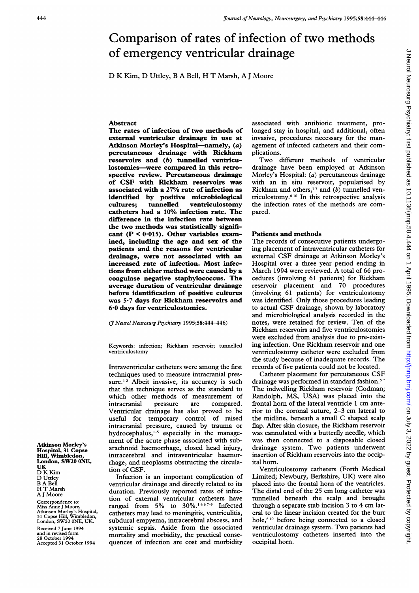# Comparison of rates of infection of two methods of emergency ventricular drainage

D K Kim, D Uttley, B A Bell, H T Marsh, A <sup>J</sup> Moore

#### **Abstract**

The rates of infection of two methods of external ventricular drainage in use at Atkinson Morley's Hospital-namely, (a) percutaneous drainage with Rickham reservoirs and (b) tunnelled ventriculostomies-were compared in this retrospective review. Percutaneous drainage of CSF with Rickham reservoirs was associated with a 27% rate of infection as identified by positive microbiological<br>cultures; tunnelled ventriculostomy cultures; tunnelled ventriculostomy catheters had a 10% infection rate. The difference in the infection rate between the two methods was statistically significant  $(P < 0.015)$ . Other variables examined, including the age and sex of the patients and the reasons for ventricular drainage, were not associated with an increased rate of infection. Most infections from either method were caused by a coagulase negative staphylococcus. The average duration of ventricular drainage before identification of positive cultures was 5-7 days for Rickham reservoirs and 6'0 days for ventriculostomies.

C Neurol Neurosurg Psychiatry 1995;58:444-446)

Keywords: infection; Rickham reservoir; tunnelled ventriculostomy

Intraventricular catheters were among the first techniques used to measure intracranial pressure.<sup>12</sup> Albeit invasive, its accuracy is such that this technique serves as the standard to which other methods of measurement of<br>intracranial pressure are compared. intracranial pressure are Ventricular drainage has also proved to be useful for temporary control of raised intracranial pressure, caused by trauma or hydrocephalus, $1-5$  especially in the management of the acute phase associated with subarachnoid haemorrhage, closed head injury, intracerebral and intraventricular haemorrhage, and neoplasms obstructing the circulation of CSF.

Infection is an important complication of ventricular drainage and directly related to its duration. Previously reported rates of infection of external ventricular catheters have ranged from 5% to  $30\%$ .<sup>1467-9</sup> Infected catheters may lead to meningitis, ventriculitis, subdural empyema, intracerebral abscess, and systemic sepsis. Aside from the associated mortality and morbidity, the practical consequences of infection are cost and morbidity

associated with antibiotic treatment, prolonged stay in hospital, and additional, often invasive, procedures necessary for the management of infected catheters and their complications.

Two different methods of ventricular drainage have been employed at Atkinson Morley's Hospital: (a) percutaneous drainage with an in situ reservoir, popularised by Rickham and others,<sup>57</sup> and (b) tunnelled ventriculostomy.610 In this retrospective analysis the infection rates of the methods are compared.

### Patients and methods

The records of consecutive patients undergoing placement of intraventricular catheters for external CSF drainage at Atkinson Morley's Hospital over a three year period ending in March <sup>1994</sup> were reviewed. A total of <sup>66</sup> procedures (involving 61 patients) for Rickham reservoir placement and 70 procedures (involving 61 patients) for ventriculostomy was identified. Only those procedures leading to actual CSF drainage, shown by laboratory and microbiological analysis recorded in the notes, were retained for review. Ten of the Rickham reservoirs and five ventriculostomies were excluded from analysis due to pre-existing infection. One Rickham reservoir and one ventriculostomy catheter were excluded from the study because of inadequate records. The records of five patients could not be located.

Catheter placement for percutaneous CSF drainage was performed in standard fashion.<sup>57</sup> The indwelling Rickham reservoir (Codman; Randolph, MS, USA) was placed into the frontal horn of the lateral ventricle <sup>1</sup> cm anterior to the coronal suture, 2-3 cm lateral to the midline, beneath <sup>a</sup> small C shaped scalp flap. After skin closure, the Rickham reservoir was cannulated with a butterfly needle, which was then connected to a disposable closed drainage system. Two patients underwent insertion of Rickham reservoirs into the occipital horn.

Ventriculostomy catheters (Forth Medical Limited; Newbury, Berkshire, UK) were also placed into the frontal horn of the ventricles. The distal end of the 25 cm long catheter was tunnelled beneath the scalp and brought through <sup>a</sup> separate stab incision 3 to 4 cm lateral to the linear incision created for the burr hole,610 before being connected to a closed ventricular drainage system. Two patients had ventriculostomy catheters inserted into the occipital horn.

J Neurol Neurosurg Psychiatry: first published as 10.11136/jnnp.58.4.444 on 1 April 1995. Downloaded from http://jnnp.bmj.com/ on July 3, 2022 by guest. Protected by copyright J Neurol Neurosurg Psychiatry: first published as 10.1136/jnnp.58.4.444 on 1 April 1995. Downloaded from britp://jnnp.bmj.com/ on July 3, 2022 by guest. Protected by copyright.

Atkinson Morley's Hospital, 31 Copse Hill, Wimbledon, London, SW20 ONE, UK D K Kim D Uttley B A Bell H T Marsh A <sup>J</sup> Moore Correspondence to:

Miss Anne J Moore, Atkinson Morley's Hospital, 31 Copse Hill, Wimbledon, London, SW20 ONE, UK.

Received 7 June 1994 and in revised form 28 October 1994 Accepted 31 October 1994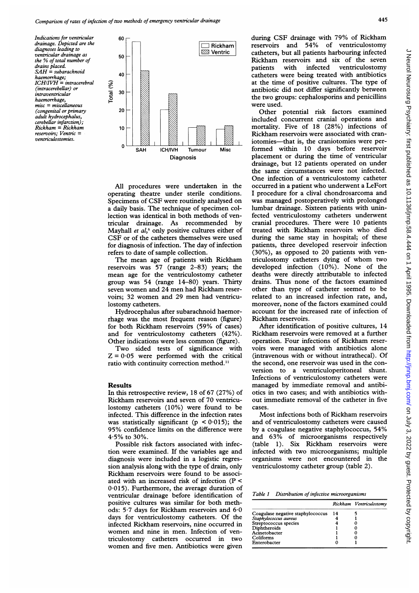Indications for ventricular drainage. Depicted are the diagnoses leading to ventricular drainage as the % of total number of drains placed.  $SAH = subarachnoid$ haemorrhage; ICHIIVH = intracerebral (intracerebellar) or intraventricular haemorrhage, misc = miscellaneous (congenital or primary adult hydrocephalus, cerebellar infarction);  $Rickham = Rickham$ reservoirs; Ventric = ventriculostomies.



All procedures were undertaken in the operating theatre under sterile conditions. Specimens of CSF were routinely analysed on a daily basis. The technique of specimen collection was identical in both methods of ventricular drainage. As recommended by Mayhall et  $al$ ,<sup>6</sup> only positive cultures either of CSF or of the catheters themselves were used for diagnosis of infection. The day of infection refers to date of sample collection.

The mean age of patients with Rickham reservoirs was 57 (range 2-83) years; the mean age for the ventriculostomy catheter group was 54 (range 14-80) years. Thirty seven women and 24 men had Rickham reservoirs; 32 women and 29 men had ventriculostomy catheters.

Hydrocephalus after subarachnoid haemorrhage was the most frequent reason (figure) for both Rickham reservoirs (59% of cases) and for ventriculostomy catheters (42%). Other indications were less common (figure).

Two sided tests of significance with  $Z = 0.05$  were performed with the critical ratio with continuity correction method."

#### Results

In this retrospective review, 18 of 67 (27%) of Rickham reservoirs and seven of 70 ventriculostomy catheters (10%) were found to be infected. This difference in the infection rates was statistically significant ( $p < 0.015$ ); the 95% confidence limits on the difference were  $4.5\%$  to 30%.

Possible risk factors associated with infection were examined. If the variables age and diagnosis were included in a logistic regression analysis along with the type of drain, only Rickham reservoirs were found to be associated with an increased risk of infection (P < 0-015). Furthermore, the average duration of ventricular drainage before identification of positive cultures was similar for both methods: 5-7 days for Rickham reservoirs and 6-0 days for ventriculostomy catheters. Of the infected Rickham reservoirs, nine occurred in women and nine in men. Infection of ventriculostomy catheters occurred in two women and five men. Antibiotics were given during CSF drainage with 79% of Rickham reservoirs and 54% of ventriculostomy catheters, but all patients harbouring infected Rickham reservoirs and six of the seven<br>patients with infected ventriculostomy ventriculostomy catheters were being treated with antibiotics at the time of positive cultures. The type of antibiotic did not differ significantly between the two groups: cephalosporins and penicillins were used.

Other potential risk factors examined included concurrent cranial operations and mortality. Five of 18 (28%) infections of Rickham reservoirs were associated with craniotomies-that is, the craniotomies were performed within 10 days before reservoir placement or during the time of ventricular drainage, but 12 patients operated on under the same circumstances were not infected. One infection of a ventriculostomy catheter occurred in a patient who underwent <sup>a</sup> LeFort <sup>I</sup> procedure for a clival chondrosarcoma and was managed postoperatively with prolonged lumbar drainage. Sixteen patients with uninfected ventriculostomy catheters underwent cranial procedures. There were 10 patients treated with Rickham reservoirs who died during the same stay in hospital; of these patients, three developed reservoir infection (30%), as opposed to 20 patients with ventriculostomy catheters dying of whom two developed infection (10%). None of the deaths were directly attributable to infected drains. Thus none of the factors examined other than type of catheter seemed to be related to an increased infection rate, and, moreover, none of the factors examined could account for the increased rate of infection of Rickham reservoirs.

After identification of positive cultures, 14 Rickham reservoirs were removed at a further operation. Four infections of Rickham reservoirs were managed with antibiotics alone (intravenous with or without intrathecal). Of the second, one reservoir was used in the conversion to a ventriculoperitoneal shunt. Infections of ventriculostomy catheters were managed by immediate removal and antibiotics in two cases; and with antibiotics without immediate removal of the catheter in five cases.

Most infections both of Rickham reservoirs and of ventriculostomy catheters were caused by <sup>a</sup> coagulase negative staphylococcus, 54% and 63% of microorganisms respectively (table 1). Six Rickham reservoirs were infected with two microorganisms; multiple organisms were not encountered in the ventriculostomy catheter group (table 2).

Table 1 Distribution of infective microorganisms

|                                   |      | Rickham Ventriculostomy |
|-----------------------------------|------|-------------------------|
| Coagulase negative staphylococcus | - 14 |                         |
| Staphylococcus aureus             |      |                         |
| Streptococcus species             |      |                         |
| Diphtheroids                      |      |                         |
| Acinetobacter                     |      |                         |
| Coliforms                         |      |                         |
| Enterobacter                      |      |                         |